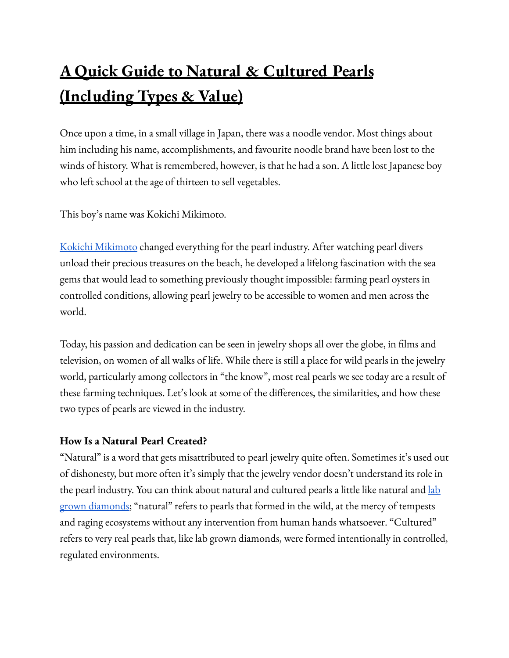## **A Quick Guide to Natural & Cultured Pearls (Including Types & Value)**

Once upon a time, in a small village in Japan, there was a noodle vendor. Most things about him including his name, accomplishments, and favourite noodle brand have been lost to the winds of history. What is remembered, however, is that he had a son. A little lost Japanese boy who left school at the age of thirteen to sell vegetables.

This boy's name was Kokichi Mikimoto.

Kokichi [Mikimoto](https://www.mikimotoamerica.com/us_en/brand-story) changed everything for the pearl industry. After watching pearl divers unload their precious treasures on the beach, he developed a lifelong fascination with the sea gems that would lead to something previously thought impossible: farming pearl oysters in controlled conditions, allowing pearl jewelry to be accessible to women and men across the world.

Today, his passion and dedication can be seen in jewelry shops all over the globe, in films and television, on women of all walks of life. While there is still a place for wild pearls in the jewelry world, particularly among collectors in "the know", most real pearls we see today are a result of these farming techniques. Let's look at some of the differences, the similarities, and how these two types of pearls are viewed in the industry.

## **How Is a Natural Pearl Created?**

"Natural" is a word that gets misattributed to pearl jewelry quite often. Sometimes it's used out of dishonesty, but more often it's simply that the jewelry vendor doesn't understand its role in the pearl industry. You can think about natural and cultured pearls a little like natural and [lab](https://www.loveandlavender.com/lab-created-diamonds-buying-guide/) grown [diamonds;](https://www.loveandlavender.com/lab-created-diamonds-buying-guide/) "natural" refers to pearls that formed in the wild, at the mercy of tempests and raging ecosystems without any intervention from human hands whatsoever. "Cultured" refers to very real pearls that, like lab grown diamonds, were formed intentionally in controlled, regulated environments.